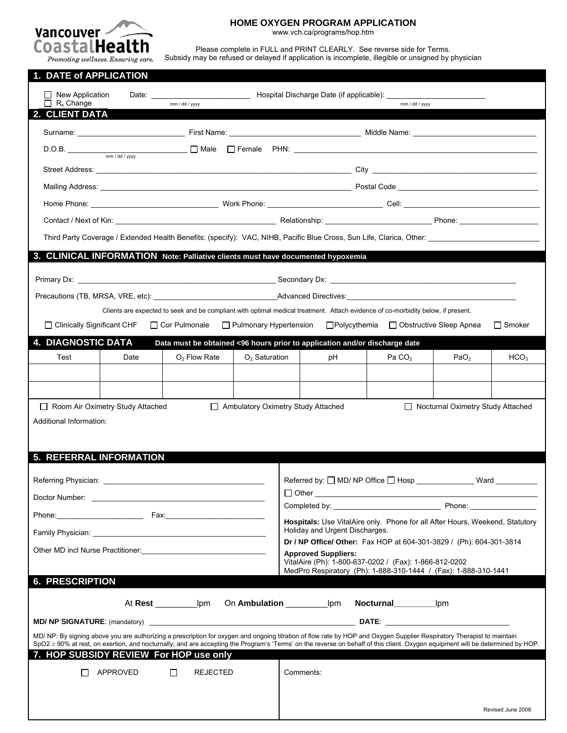

# **HOME OXYGEN PROGRAM APPLICATION**

www.vch.ca/programs/hop.htm

Please complete in FULL and PRINT CLEARLY. See reverse side for Terms. Subsidy may be refused or delayed if application is incomplete, illegible or unsigned by physician

| $\Box$ R <sub>x</sub> Change | mm / dd / yyyy | mm / dd / yyyy                                                                                                                                                                                                                       |
|------------------------------|----------------|--------------------------------------------------------------------------------------------------------------------------------------------------------------------------------------------------------------------------------------|
| 2. CLIENT DATA               |                |                                                                                                                                                                                                                                      |
|                              |                |                                                                                                                                                                                                                                      |
|                              |                |                                                                                                                                                                                                                                      |
|                              |                | Street Address: <u>Andress Street Address Street Address Street Address Street Address Street Address Street Address Street Address Street Address Street Address Street Address Street Address Street Address Street Address St</u> |
|                              |                | Mailing Address: National Address: National Address: National Address: National Address: National Address: National Address: National Address: National Address: National Address: National Address: National Address: Nationa       |
|                              |                |                                                                                                                                                                                                                                      |
|                              |                | Contact / Next of Kin: Next of Kin: Next of Kin: Next of Kin: Next of Kin: Next of Kin: Next of Kin: Next of Kin: Next of Kin: Next of Kin: Next of Kin: Next of Kin: Next of Kin: Next of Air Oriental Air Oriental Air Orien       |

|  | 3. CLINICAL INFORMATION Note: Palliative clients must have documented hypoxemia |
|--|---------------------------------------------------------------------------------|
|  |                                                                                 |

| Primary Dx:                       | Secondary Dx:               |
|-----------------------------------|-----------------------------|
| Precautions (TB, MRSA, VRE, etc): | <b>Advanced Directives:</b> |

Clients are expected to seek and be compliant with optimal medical treatment. Attach evidence of co-morbidity below, if present.

| $\Box$ Clinically Significant CHF |                                         | $\Box$ Cor Pulmonale | $\Box$ Pulmonary Hypertension      | ⊟Polvcythemia                                                              |                    | $\Box$ Obstructive Sleep Apnea      | ∃ Smoker         |
|-----------------------------------|-----------------------------------------|----------------------|------------------------------------|----------------------------------------------------------------------------|--------------------|-------------------------------------|------------------|
| <b>4. DIAGNOSTIC DATA</b>         |                                         |                      |                                    | Data must be obtained <96 hours prior to application and/or discharge date |                    |                                     |                  |
| Test                              | Date                                    | $O2$ Flow Rate       | $O2$ Saturation                    | рH                                                                         | Pa CO <sub>2</sub> | PaO <sub>2</sub>                    | HCO <sub>3</sub> |
|                                   |                                         |                      |                                    |                                                                            |                    |                                     |                  |
|                                   |                                         |                      |                                    |                                                                            |                    |                                     |                  |
|                                   | $\Box$ Room Air Oximetry Study Attached |                      | Ambulatory Oximetry Study Attached |                                                                            |                    | □ Nocturnal Oximetry Study Attached |                  |
| Additional Information:           |                                         |                      |                                    |                                                                            |                    |                                     |                  |
|                                   |                                         |                      |                                    |                                                                            |                    |                                     |                  |
| <b>5. REFERRAL INFORMATION</b>    |                                         |                      |                                    |                                                                            |                    |                                     |                  |
|                                   |                                         |                      |                                    |                                                                            |                    |                                     |                  |

|                                                                                                                                                                       | Referred by: $\Box$ MD/ NP Office $\Box$ Hosp _______________________ Ward __________                                                                                          |
|-----------------------------------------------------------------------------------------------------------------------------------------------------------------------|--------------------------------------------------------------------------------------------------------------------------------------------------------------------------------|
|                                                                                                                                                                       |                                                                                                                                                                                |
|                                                                                                                                                                       |                                                                                                                                                                                |
|                                                                                                                                                                       | Hospitals: Use VitalAire only. Phone for all After Hours, Weekend, Statutory                                                                                                   |
|                                                                                                                                                                       | Holiday and Urgent Discharges.                                                                                                                                                 |
|                                                                                                                                                                       | Dr / NP Office/ Other: Fax HOP at 604-301-3829 / (Ph): 604-301-3814                                                                                                            |
| Other MD incl Nurse Practitioner:<br><u> </u>                                                                                                                         | <b>Approved Suppliers:</b>                                                                                                                                                     |
|                                                                                                                                                                       | VitalAire (Ph): 1-800-637-0202 / (Fax): 1-866-812-0202<br>MedPro Respiratory (Ph): 1-888-310-1444 / (Fax): 1-888-310-1441                                                      |
| <b>6. PRESCRIPTION</b>                                                                                                                                                |                                                                                                                                                                                |
|                                                                                                                                                                       |                                                                                                                                                                                |
|                                                                                                                                                                       |                                                                                                                                                                                |
|                                                                                                                                                                       |                                                                                                                                                                                |
|                                                                                                                                                                       | At Rest Ipm On Ambulation Ipm Nocturnal immunity of the Rest                                                                                                                   |
|                                                                                                                                                                       |                                                                                                                                                                                |
| MD/NP: By signing above you are authorizing a prescription for oxygen and ongoing titration of flow rate by HOP and Oxygen Supplier Respiratory Therapist to maintain | SpO2 ≥ 90% at rest, on exertion, and nocturnally; and are accepting the Program's 'Terms' on the reverse on behalf of this client. Oxygen equipment will be determined by HOP. |
| 7. HOP SUBSIDY REVIEW For HOP use only                                                                                                                                |                                                                                                                                                                                |
|                                                                                                                                                                       |                                                                                                                                                                                |
| $APPROVED$ $\Box$<br>REJECTED                                                                                                                                         | Comments:                                                                                                                                                                      |
|                                                                                                                                                                       |                                                                                                                                                                                |